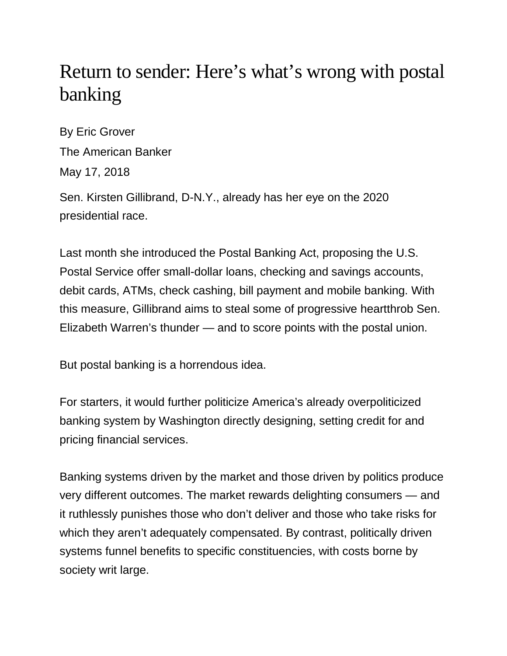## Return to sender: Here's what's wrong with postal banking

By Eric Grover The American Banker May 17, 2018

Sen. Kirsten Gillibrand, D-N.Y., already has her eye on the 2020 presidential race.

Last month she introduced the Postal Banking Act, proposing the U.S. Postal Service offer small-dollar loans, checking and savings accounts, debit cards, ATMs, check cashing, bill payment and mobile banking. With this measure, Gillibrand aims to steal some of progressive heartthrob Sen. Elizabeth Warren's thunder — and to score points with the postal union.

But postal banking is a horrendous idea.

For starters, it would further politicize America's already overpoliticized banking system by Washington directly designing, setting credit for and pricing financial services.

Banking systems driven by the market and those driven by politics produce very different outcomes. The market rewards delighting consumers — and it ruthlessly punishes those who don't deliver and those who take risks for which they aren't adequately compensated. By contrast, politically driven systems funnel benefits to specific constituencies, with costs borne by society writ large.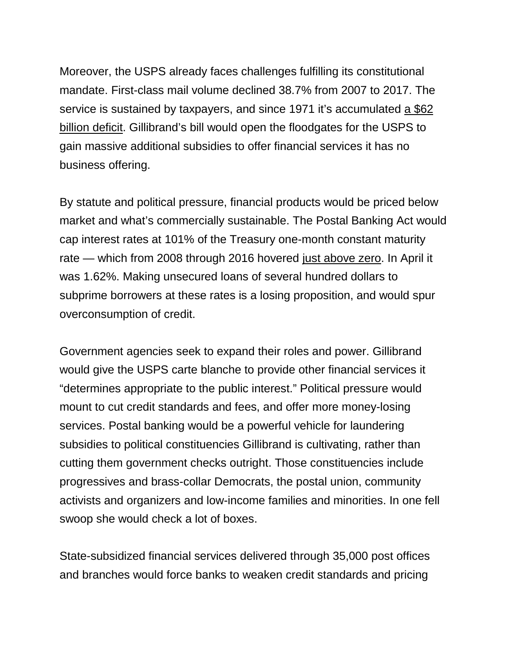Moreover, the USPS already faces challenges fulfilling its constitutional mandate. First-class mail volume declined 38.7% from 2007 to 2017. The service is sustained by taxpayers, and since 1971 it's accumulated [a \\$62](https://about.usps.com/who-we-are/financials/annual-reports/fy2017.pdf) [billion deficit.](https://about.usps.com/who-we-are/financials/annual-reports/fy2017.pdf) Gillibrand's bill would open the floodgates for the USPS to gain massive additional subsidies to offer financial services it has no business offering.

By statute and political pressure, financial products would be priced below market and what's commercially sustainable. The Postal Banking Act would cap interest rates at 101% of the Treasury one-month constant maturity rate — which from 2008 through 2016 hovered [just above zero.](https://fred.stlouisfed.org/series/DGS1MO) In April it was 1.62%. Making unsecured loans of several hundred dollars to subprime borrowers at these rates is a losing proposition, and would spur overconsumption of credit.

Government agencies seek to expand their roles and power. Gillibrand would give the USPS carte blanche to provide other financial services it "determines appropriate to the public interest." Political pressure would mount to cut credit standards and fees, and offer more money-losing services. Postal banking would be a powerful vehicle for laundering subsidies to political constituencies Gillibrand is cultivating, rather than cutting them government checks outright. Those constituencies include progressives and brass-collar Democrats, the postal union, community activists and organizers and low-income families and minorities. In one fell swoop she would check a lot of boxes.

State-subsidized financial services delivered through 35,000 post offices and branches would force banks to weaken credit standards and pricing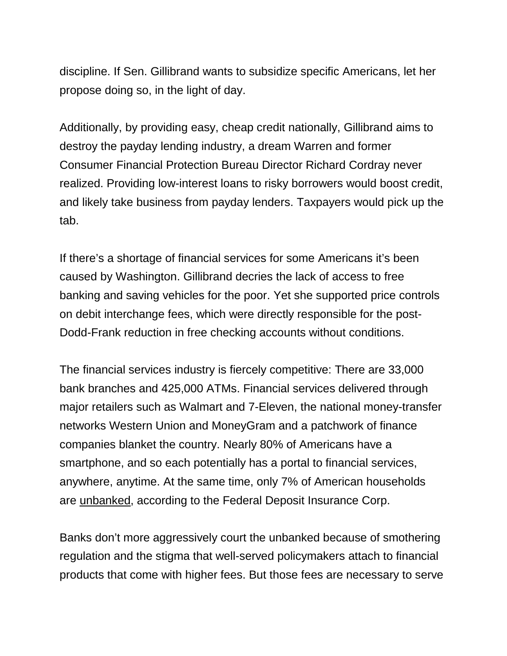discipline. If Sen. Gillibrand wants to subsidize specific Americans, let her propose doing so, in the light of day.

Additionally, by providing easy, cheap credit nationally, Gillibrand aims to destroy the payday lending industry, a dream Warren and former Consumer Financial Protection Bureau Director Richard Cordray never realized. Providing low-interest loans to risky borrowers would boost credit, and likely take business from payday lenders. Taxpayers would pick up the tab.

If there's a shortage of financial services for some Americans it's been caused by Washington. Gillibrand decries the lack of access to free banking and saving vehicles for the poor. Yet she supported price controls on debit interchange fees, which were directly responsible for the post-Dodd-Frank reduction in free checking accounts without conditions.

The financial services industry is fiercely competitive: There are 33,000 bank branches and 425,000 ATMs. Financial services delivered through major retailers such as Walmart and 7-Eleven, the national money-transfer networks Western Union and MoneyGram and a patchwork of finance companies blanket the country. Nearly 80% of Americans have a smartphone, and so each potentially has a portal to financial services, anywhere, anytime. At the same time, only 7% of American households are [unbanked,](https://www.fdic.gov/householdsurvey/2015/2015report.pdf) according to the Federal Deposit Insurance Corp.

Banks don't more aggressively court the unbanked because of smothering regulation and the stigma that well-served policymakers attach to financial products that come with higher fees. But those fees are necessary to serve